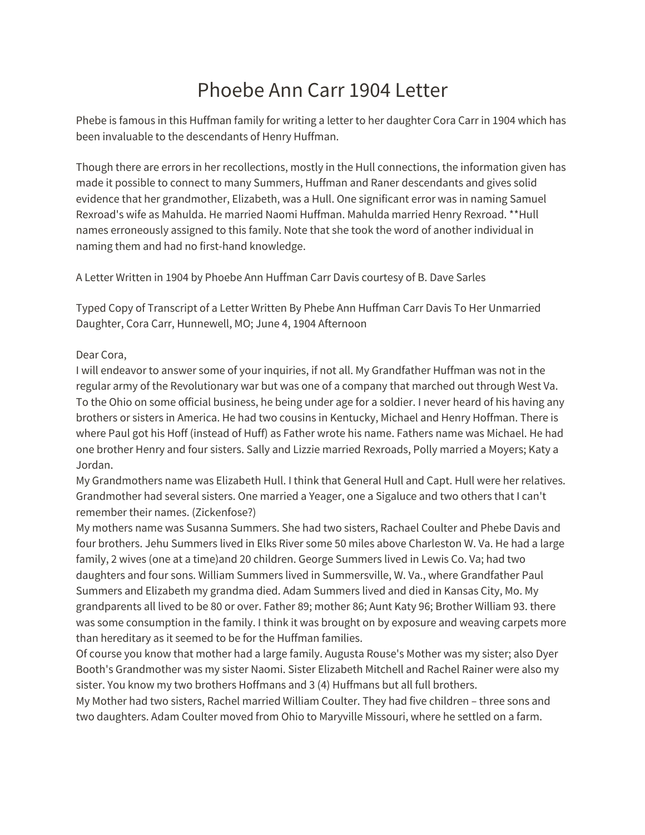# Phoebe Ann Carr 1904 Letter

Phebe is famous in this Huffman family for writing a letter to her daughter Cora Carr in 1904 which has been invaluable to the descendants of Henry Huffman.

Though there are errors in her recollections, mostly in the Hull connections, the information given has made it possible to connect to many Summers, Huffman and Raner descendants and gives solid evidence that her grandmother, Elizabeth, was a Hull. One significant error was in naming Samuel Rexroad's wife as Mahulda. He married Naomi Huffman. Mahulda married Henry Rexroad. \*\*Hull names erroneously assigned to this family. Note that she took the word of another individual in naming them and had no first-hand knowledge.

A Letter Written in 1904 by Phoebe Ann Huffman Carr Davis courtesy of B. Dave Sarles

Typed Copy of Transcript of a Letter Written By Phebe Ann Huffman Carr Davis To Her Unmarried Daughter, Cora Carr, Hunnewell, MO; June 4, 1904 Afternoon

Dear Cora,

I will endeavor to answer some of your inquiries, if not all. My Grandfather Huffman was not in the regular army of the Revolutionary war but was one of a company that marched out through West Va. To the Ohio on some official business, he being under age for a soldier. I never heard of his having any brothers or sisters in America. He had two cousins in Kentucky, Michael and Henry Hoffman. There is where Paul got his Hoff (instead of Huff) as Father wrote his name. Fathers name was Michael. He had one brother Henry and four sisters. Sally and Lizzie married Rexroads, Polly married a Moyers; Katy a Jordan.

My Grandmothers name was Elizabeth Hull. I think that General Hull and Capt. Hull were her relatives. Grandmother had several sisters. One married a Yeager, one a Sigaluce and two others that I can't remember their names. (Zickenfose?)

My mothers name was Susanna Summers. She had two sisters, Rachael Coulter and Phebe Davis and four brothers. Jehu Summers lived in Elks River some 50 miles above Charleston W. Va. He had a large family, 2 wives (one at a time)and 20 children. George Summers lived in Lewis Co. Va; had two daughters and four sons. William Summers lived in Summersville, W. Va., where Grandfather Paul Summers and Elizabeth my grandma died. Adam Summers lived and died in Kansas City, Mo. My grandparents all lived to be 80 or over. Father 89; mother 86; Aunt Katy 96; Brother William 93. there was some consumption in the family. I think it was brought on by exposure and weaving carpets more than hereditary as it seemed to be for the Huffman families.

Of course you know that mother had a large family. Augusta Rouse's Mother was my sister; also Dyer Booth's Grandmother was my sister Naomi. Sister Elizabeth Mitchell and Rachel Rainer were also my sister. You know my two brothers Hoffmans and 3 (4) Huffmans but all full brothers.

My Mother had two sisters, Rachel married William Coulter. They had five children – three sons and two daughters. Adam Coulter moved from Ohio to Maryville Missouri, where he settled on a farm.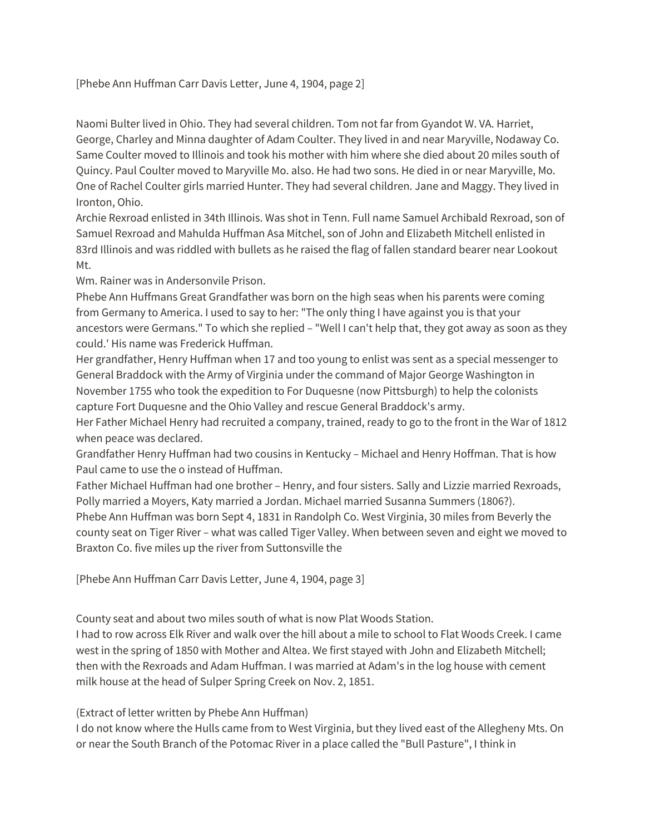## [Phebe Ann Huffman Carr Davis Letter, June 4, 1904, page 2]

Naomi Bulter lived in Ohio. They had several children. Tom not far from Gyandot W. VA. Harriet, George, Charley and Minna daughter of Adam Coulter. They lived in and near Maryville, Nodaway Co. Same Coulter moved to Illinois and took his mother with him where she died about 20 miles south of Quincy. Paul Coulter moved to Maryville Mo. also. He had two sons. He died in or near Maryville, Mo. One of Rachel Coulter girls married Hunter. They had several children. Jane and Maggy. They lived in Ironton, Ohio.

Archie Rexroad enlisted in 34th Illinois. Was shot in Tenn. Full name Samuel Archibald Rexroad, son of Samuel Rexroad and Mahulda Huffman Asa Mitchel, son of John and Elizabeth Mitchell enlisted in 83rd Illinois and was riddled with bullets as he raised the flag of fallen standard bearer near Lookout Mt.

Wm. Rainer was in Andersonvile Prison.

Phebe Ann Huffmans Great Grandfather was born on the high seas when his parents were coming from Germany to America. I used to say to her: "The only thing I have against you is that your ancestors were Germans." To which she replied – "Well I can't help that, they got away as soon as they could.' His name was Frederick Huffman.

Her grandfather, Henry Huffman when 17 and too young to enlist was sent as a special messenger to General Braddock with the Army of Virginia under the command of Major George Washington in November 1755 who took the expedition to For Duquesne (now Pittsburgh) to help the colonists capture Fort Duquesne and the Ohio Valley and rescue General Braddock's army.

Her Father Michael Henry had recruited a company, trained, ready to go to the front in the War of 1812 when peace was declared.

Grandfather Henry Huffman had two cousins in Kentucky – Michael and Henry Hoffman. That is how Paul came to use the o instead of Huffman.

Father Michael Huffman had one brother – Henry, and four sisters. Sally and Lizzie married Rexroads, Polly married a Moyers, Katy married a Jordan. Michael married Susanna Summers (1806?). Phebe Ann Huffman was born Sept 4, 1831 in Randolph Co. West Virginia, 30 miles from Beverly the county seat on Tiger River – what was called Tiger Valley. When between seven and eight we moved to Braxton Co. five miles up the river from Suttonsville the

[Phebe Ann Huffman Carr Davis Letter, June 4, 1904, page 3]

County seat and about two miles south of what is now Plat Woods Station.

I had to row across Elk River and walk over the hill about a mile to school to Flat Woods Creek. I came west in the spring of 1850 with Mother and Altea. We first stayed with John and Elizabeth Mitchell; then with the Rexroads and Adam Huffman. I was married at Adam's in the log house with cement milk house at the head of Sulper Spring Creek on Nov. 2, 1851.

## (Extract of letter written by Phebe Ann Huffman)

I do not know where the Hulls came from to West Virginia, but they lived east of the Allegheny Mts. On or near the South Branch of the Potomac River in a place called the "Bull Pasture", I think in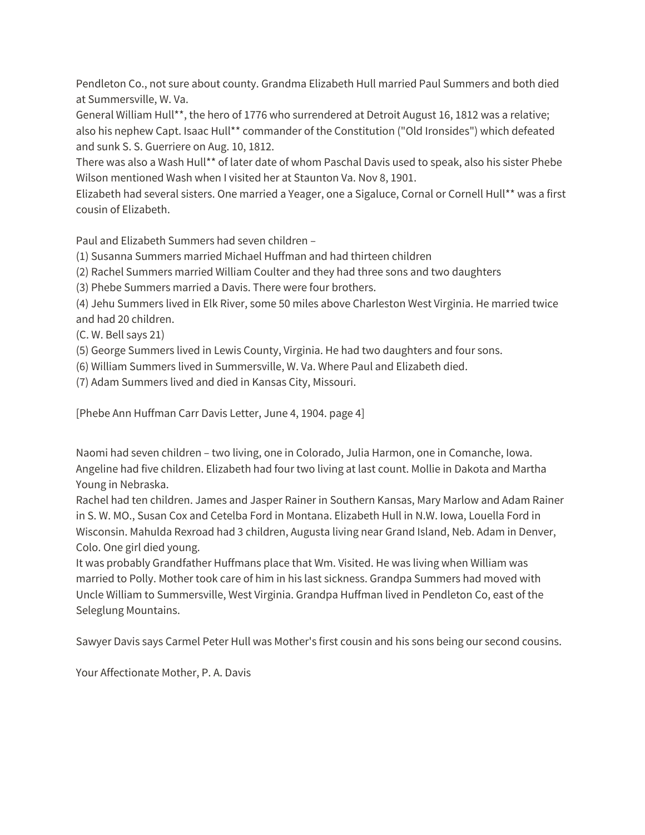Pendleton Co., not sure about county. Grandma Elizabeth Hull married Paul Summers and both died at Summersville, W. Va.

General William Hull\*\*, the hero of 1776 who surrendered at Detroit August 16, 1812 was a relative; also his nephew Capt. Isaac Hull\*\* commander of the Constitution ("Old Ironsides") which defeated and sunk S. S. Guerriere on Aug. 10, 1812.

There was also a Wash Hull\*\* of later date of whom Paschal Davis used to speak, also his sister Phebe Wilson mentioned Wash when I visited her at Staunton Va. Nov 8, 1901.

Elizabeth had several sisters. One married a Yeager, one a Sigaluce, Cornal or Cornell Hull\*\* was a first cousin of Elizabeth.

Paul and Elizabeth Summers had seven children –

(1) Susanna Summers married Michael Huffman and had thirteen children

(2) Rachel Summers married William Coulter and they had three sons and two daughters

(3) Phebe Summers married a Davis. There were four brothers.

(4) Jehu Summers lived in Elk River, some 50 miles above Charleston West Virginia. He married twice and had 20 children.

(C. W. Bell says 21)

(5) George Summers lived in Lewis County, Virginia. He had two daughters and four sons.

(6) William Summers lived in Summersville, W. Va. Where Paul and Elizabeth died.

(7) Adam Summers lived and died in Kansas City, Missouri.

[Phebe Ann Huffman Carr Davis Letter, June 4, 1904. page 4]

Naomi had seven children – two living, one in Colorado, Julia Harmon, one in Comanche, Iowa. Angeline had five children. Elizabeth had four two living at last count. Mollie in Dakota and Martha Young in Nebraska.

Rachel had ten children. James and Jasper Rainer in Southern Kansas, Mary Marlow and Adam Rainer in S. W. MO., Susan Cox and Cetelba Ford in Montana. Elizabeth Hull in N.W. Iowa, Louella Ford in Wisconsin. Mahulda Rexroad had 3 children, Augusta living near Grand Island, Neb. Adam in Denver, Colo. One girl died young.

It was probably Grandfather Huffmans place that Wm. Visited. He was living when William was married to Polly. Mother took care of him in his last sickness. Grandpa Summers had moved with Uncle William to Summersville, West Virginia. Grandpa Huffman lived in Pendleton Co, east of the Seleglung Mountains.

Sawyer Davis says Carmel Peter Hull was Mother's first cousin and his sons being our second cousins.

Your Affectionate Mother, P. A. Davis